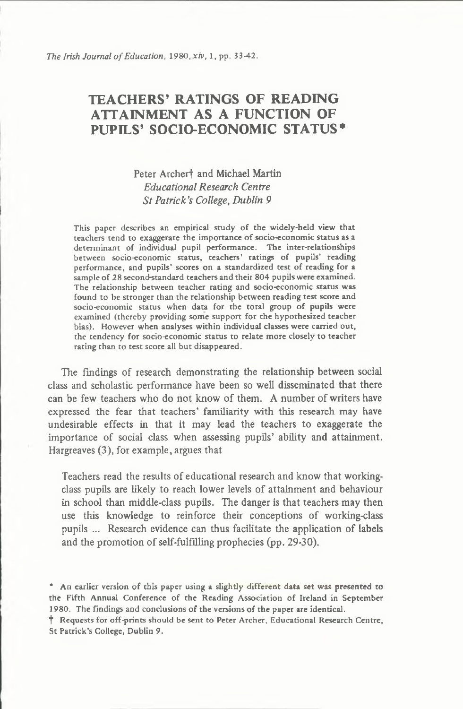# TEACHERS' RATINGS OF READING ATTAINMENT AS A FUNCTION OF PUPILS' SOCIO-ECONOMIC STATUS\*

## **Peter Archerf and Michael Martin** *Educational Research Centre S t Patrick's College***,** *Dublin 9*

This paper describes an empirical study of the widely-held view that teachers tend to exaggerate the importance of socio-economic status as a determinant of individual pupil performance. The inter-relationships between socio-economic status, teachers' ratings of pupils' reading performance, and pupils' scores on a standardized test of reading for a sample of 28 second-standard teachers and their 804 pupils were examined. The relationship between teacher rating and socio-economic status was found to be stronger than the relationship between reading test score and socio-economic status when data for the total group of pupils were examined (thereby providing some support for the hypothesized teacher bias). However when analyses within individual classes were carried out, the tendency for socio-economic status to relate more closely to teacher rating than to test score all but disappeared.

The findings of research demonstrating the relationship between social **class and scholastic performance have been so w ell disseminated that there** can be few teachers who do not know of them. A number of writers have expressed the fear that teachers' familiarity with this research may have undesirable effects in that it may lead the teachers to exaggerate the importance of social class when assessing pupils' ability and attainment. **Hargreaves (3 ), for exam ple, argues that**

Teachers read the results of educational research and know that workingclass pupils are likely to reach lower levels of attainment and behaviour in school than middle-class pupils. The danger is that teachers may then use this knowledge to reinforce their conceptions of working-class pupils ... Research evidence can thus facilitate the application of labels and the promotion of self-fulfilling prophecies (pp. 29-30).

t Requests for off-prints should be sent to Peter Archer, Educational Research Centre, St Patrick's College, Dublin 9.

<sup>\*</sup> An earlier version of this paper using a slightly different data set was presented to the Fifth Annual Conference of the Reading Association of Ireland in September 1980. The findings and conclusions of the versions of the paper are identical,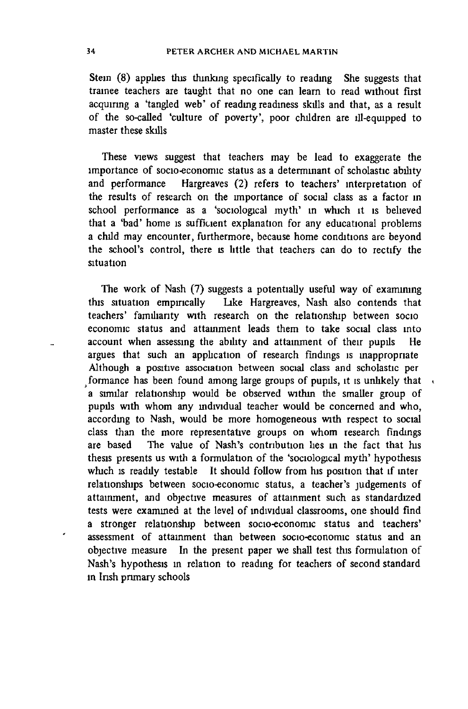Stein (8) applies this thinking specifically to reading She suggests that trainee teachers are taught that no one can learn to read without first acquiring a 'tangled web' of reading readiness skills and that, as a result of the so-called 'culture of poverty', poor children are ill-equipped to **master these skills**

**These views suggest that teachers may be lead to exaggerate the** importance of socio-economic status as a determinant of scholastic ability and performance Hargreaves (2) refers to teachers' interpretation of the results of research on the importance of social class as a factor in school performance as a 'sociological myth' in which it is believed that a 'bad' home is sufficient explanation for any educational problems a child may encounter, furthermore, because home conditions are beyond **the school's control, there is little that teachers can do to rectify the situation**

The work of Nash (7) suggests a potentially useful way of examining **this situation empirically lake Hargreaves, Nash also contends that** teachers' familiarity with research on the relationship between socio economic status and attainment leads them to take social class into account when assessing the ability and attainment of their pupils He argues that such an application of research findings is inappropriate Although a positive association between social class and scholastic per formance has been found among large groups of pupils, it is unlikely that a similar relationship would be observed within the smaller group of pupils with whom any individual teacher would be concerned and who, according to Nash, would be more homogeneous with respect to social **class than the more representative groups on whom research findings** are based The value of Nash's contribution lies in the fact that his thesis presents us with a formulation of the 'sociological myth' hypothesis which is readily testable It should follow from his position that if inter relationships between socio-economic status, a teacher's judgements of attainment, and objective measures of attainment such as standardized tests were examined at the level of individual classrooms, one should find a stronger relationship between socio-economic status and teachers' assessment of attainment than between socio-economic status and an **objective measure** In the present paper we shall test this formulation of Nash's hypothesis in relation to reading for teachers of second standard **in Insh primary schools**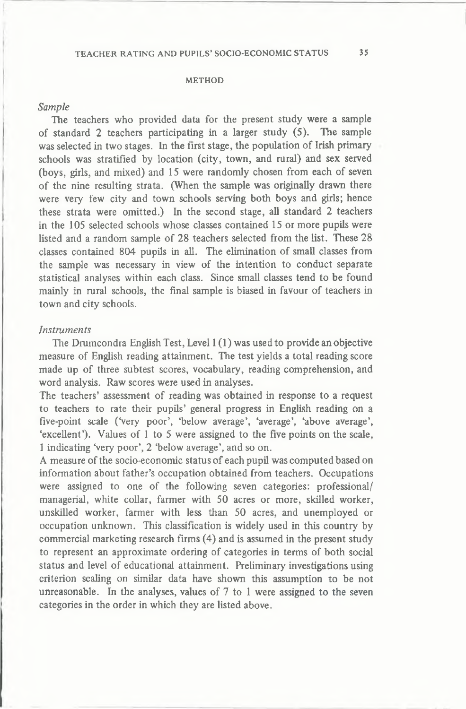#### METHOD

### *Sample*

The teachers who provided data for the present study were a sample of standard 2 teachers participating in a larger study (5). The sample was selected in two stages. In the first stage, the population of Irish primary schools was stratified by location (city, town, and rural) and sex served (boys, girls, and mixed) and 15 were randomly chosen from each of seven of the nine resulting strata. (When the sample was originally drawn there were very few city and town schools serving both boys and girls; hence **these strata were om itted.) In the second stage, all standard 2 teachers in the 105 selected schools whose classes contained 15 or more pupils were** listed and a random sample of 28 teachers selected from the list. These 28 classes contained 804 pupils in all. The elimination of small classes from the sample was necessary in view of the intention to conduct separate statistical analyses within each class. Since small classes tend to be found mainly in rural schools, the final sample is biased in favour of teachers in town and city schools.

### *Instruments*

**The Drumcondra English Test, Level 1(1) was used to provide an objective** measure of English reading attainment. The test yields a total reading score made up of three subtest scores, vocabulary, reading comprehension, and **word analysis. Raw scores were used in analyses.**

The teachers' assessment of reading was obtained in response to a request **to teachers to rate their pupils' general progress in English reading on a five-point scale (Very poor', 'below average', 'average', 'above average',** 'excellent'). Values of 1 to 5 were assigned to the five points on the scale, **1 indicating Very poor', 2 'below average', and so on.**

A measure of the socio-economic status of each pupil was computed based on **inform ation about father's occupation obtained from teachers. Occupations** were assigned to one of the following seven categories: professional/ managerial, white collar, farmer with 50 acres or more, skilled worker, unskilled worker, farmer with less than 50 acres, and unemployed or occupation unknown. This classification is widely used in this country by **comm ercial marketing research firms (4 ) and is assumed in the present study** to represent an approximate ordering of categories in terms of both social status and level of educational attainment. Preliminary investigations using criterion scaling on similar data have shown this assumption to be not unreasonable. In the analyses, values of 7 to 1 were assigned to the seven **categories in the order in w hich they are listed above.**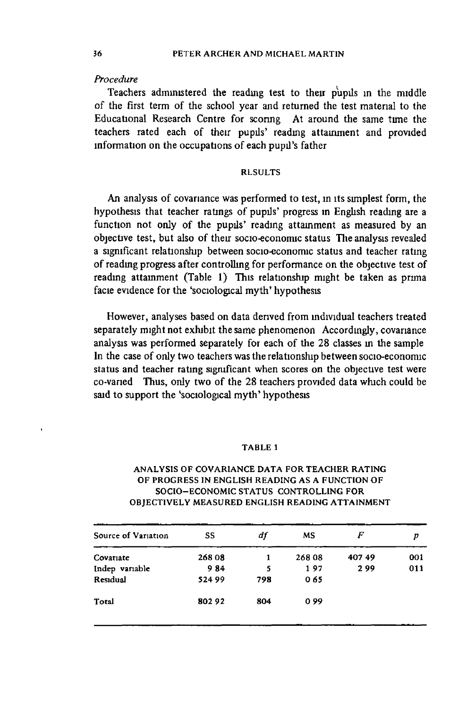## *Procedure*

**Teachers administered the reading test to their pupils in the middle** of the first term of the school year and returned the test material to the Educational Research Centre for scoring At around the same time the teachers rated each of their pupils' reading attainment and provided information on the occupations of each pupil's father

## RLSULTS

An analysis of covariance was performed to test, in its simplest form, the hypothesis that teacher ratings of pupils' progress in English reading are a function not only of the pupils' reading attainment as measured by an objective test, but also of their socio-economic status The analysis revealed a significant relationship between socio-economic status and teacher rating of reading progress after controlling for performance on the objective test of reading attainment (Table 1) This relationship might be taken as prima facie evidence for the 'sociological myth' hypothesis

**However, analyses based on data denved from individual teachers treated** separately might not exhibit the same phenomenon Accordingly, covariance analysis was performed separately for each of the 28 classes in the sample In the case of only two teachers was the relationship between socio-economic **status and teacher rating significant when scores on the objective test were** co-varied Thus, only two of the 28 teachers provided data which could be said to support the 'sociological myth' hypothesis

#### TABLE l

| Source of Variation | SS     | df  | <b>MS</b> | F     | р   |
|---------------------|--------|-----|-----------|-------|-----|
| Covariate           | 26808  | 1   | 268 08    | 40749 | 001 |
| Indep variable      | 984    | 5   | 197       | 299   | 011 |
| Residual            | 524 99 | 798 | 065       |       |     |
| Total               | 80292  | 804 | 099       |       |     |

## ANALYSIS OF COVARIANCE DATA FOR TEACHER RATING OF PROGRESS IN ENGLISH READING AS A FUNCTION OF SOCIO-ECONOMIC STATUS CONTROLLING FOR OBJECTIVELY MEASURED ENGLISH READING ATTAINMENT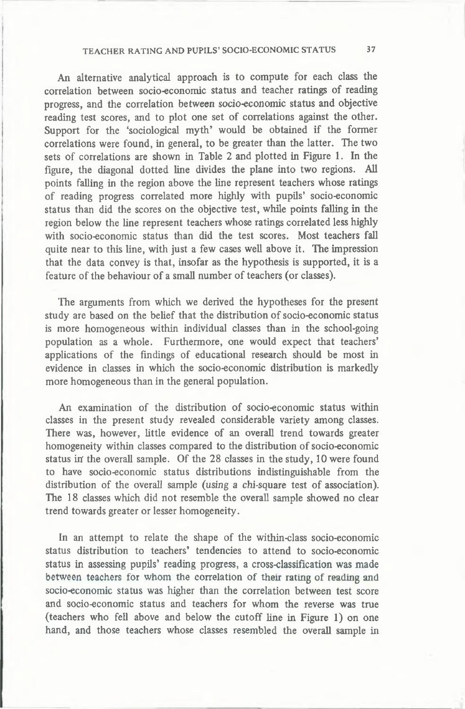## TEACHER RATING AND PUPILS' SOCIO-ECONOMIC STATUS 37

An alternative analytical approach is to compute for each class the correlation between socio-economic status and teacher ratings of reading progress, and the correlation between socio-economic status and objective reading test scores, and to plot one set of correlations against the other. Support for the 'sociological myth' would be obtained if the former correlations were found, in general, to be greater than the latter. The two sets of correlations are shown in Table 2 and plotted in Figure 1. In the figure, the diagonal dotted line divides the plane into two regions. All points falling in the region above the line represent teachers whose ratings of reading progress correlated more highly with pupils' socio-economic **status than did the scores on the objective test, while points falling in the** region below the line represent teachers whose ratings correlated less highly with socio-economic status than did the test scores. Most teachers fall quite near to this line, with just a few cases well above it. The impression **that the data convey is that, insofar as the hypothesis is supported, it is a** feature of the behaviour of a small number of teachers (or classes).

The arguments from which we derived the hypotheses for the present study are based on the belief that the distribution of socio-economic status is more homogeneous within individual classes than in the school-going population as a whole. Furthermore, one would expect that teachers' applications of the findings of educational research should be most in evidence in classes in which the socio-economic distribution is markedly **more hom ogeneous than in the general population.**

An examination of the distribution of socio-economic status within classes in the present study revealed considerable variety among classes. There was, however, little evidence of an overall trend towards greater homogeneity within classes compared to the distribution of socio-economic status in the overall sample. Of the 28 classes in the study, 10 were found to have socio-economic status distributions indistinguishable from the distribution of the overall sample (using a chi-square test of association). The 18 classes which did not resemble the overall sample showed no clear **trend towards greater or lesser hom ogeneity.**

In an attempt to relate the shape of the within-class socio-economic **status distribution to teachers' tendencies to attend to socio-econom ic status in assessing pupils' reading progress, a cross-classification was made** between teachers for whom the correlation of their rating of reading and socio-economic status was higher than the correlation between test score and socio-economic status and teachers for whom the reverse was true (teachers who fell above and below the cutoff line in Figure 1) on one **hand, and those teachers whose classes resembled the overall sample in**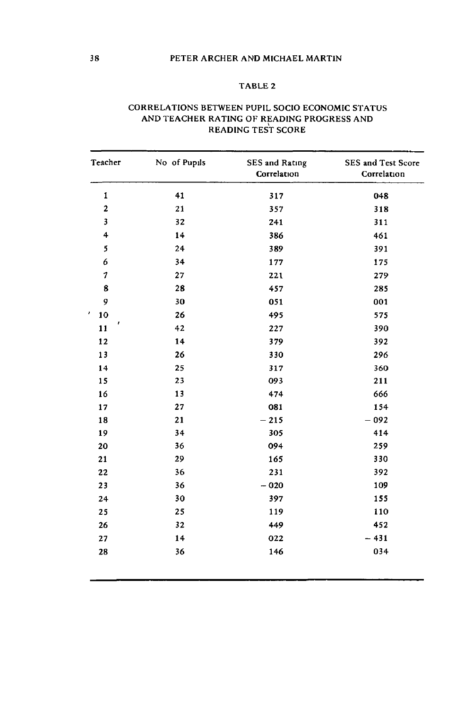## PETER ARCHER AND MICHAEL MARTIN

## TABLE 2

| Teacher                 | No of Pupils | <b>SES</b> and Rating<br>Correlation | SES and Test Score<br>Correlation |
|-------------------------|--------------|--------------------------------------|-----------------------------------|
| 1                       | 41           | 317                                  | 048                               |
| $\overline{\mathbf{c}}$ | 21           | 357                                  | 318                               |
| 3                       | 32           | 241                                  | 311                               |
| 4                       | 14           | 386                                  | 461                               |
| 5                       | 24           | 389                                  | 391                               |
| 6                       | 34           | 177                                  | 175                               |
| 7                       | 27           | 221                                  | 279                               |
| 8                       | 28           | 457                                  | 285                               |
| 9                       | 30           | 051                                  | 001                               |
| $\pmb{\cdot}$<br>10     | 26           | 495                                  | 575                               |
| ŧ<br>11                 | 42           | 227                                  | 390                               |
| 12                      | 14           | 379                                  | 392                               |
| 13                      | 26           | 330                                  | 296                               |
| 14                      | 25           | 317                                  | 360                               |
| 15                      | 23           | 093                                  | 211                               |
| 16                      | 13           | 474                                  | 666                               |
| 17                      | 27           | 081                                  | 154                               |
| 18                      | 21           | $-215$                               | $-092$                            |
| 19                      | 34           | 305                                  | 414                               |
| 20                      | 36           | 094                                  | 259                               |
| 21                      | 29           | 165                                  | 330                               |
| 22                      | 36           | 231                                  | 392                               |
| 23                      | 36           | $-020$                               | 109                               |
| 24                      | 30           | 397                                  | 155                               |
| 25                      | 25           | 119                                  | 110                               |
| 26                      | 32           | 449                                  | 452                               |
| 27                      | 14           | 022                                  | $-431$                            |
| 28                      | 36           | 146                                  | 034                               |

## CORRELATIONS BETWEEN PUPIL SOCIO ECONOMIC STATUS AND TEACHER RATING OF READING PROGRESS AND READING TEST SCORE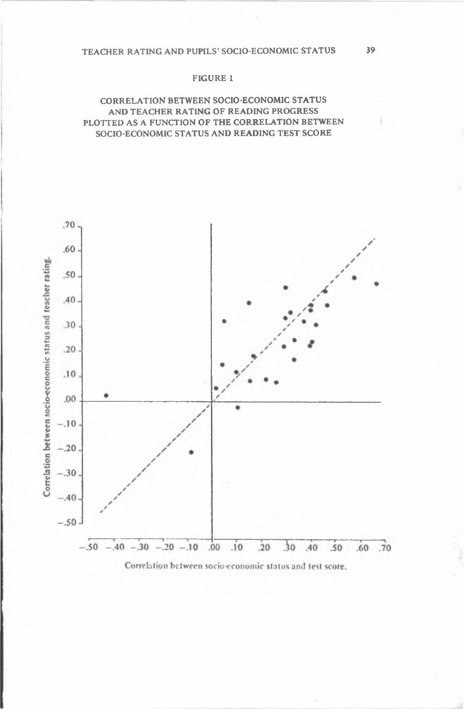#### FIGURE 1

## CORRELATION BETWEEN SOCIO-ECONOMIC STATUS AND TEACHER RATING OF READING PROGRESS PLOTTED AS A FUNCTION OF THE CORRELATION BETWEEN SOCIO-ECONOMIC STATUS AND READING TEST SCORE

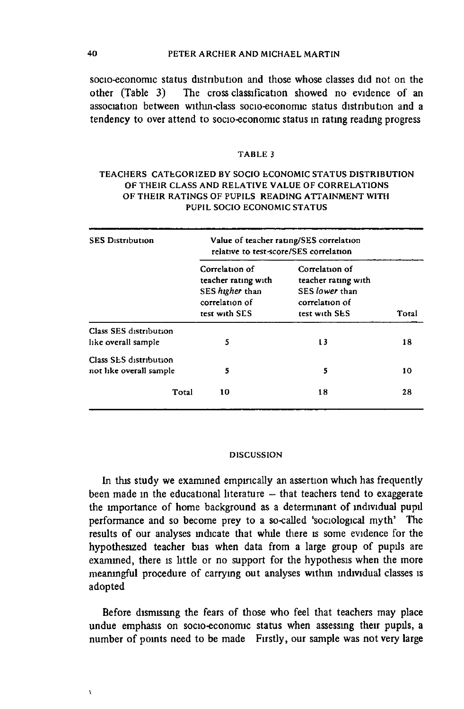### 40 PETER ARCHER AND MICHAEL MARTIN

**socio-economic status distribution and those whose classes did not on the other (Table 3) The cross classification showed no evidence of an association between within-class socio-economic status distribution and a tendency to over attend to socio-economic status in rating reading progress**

#### TABLE 3

## TEACHERS CATEGORIZED BY SOCIO ECONOMIC STATUS DISTRIBUTION OF THEIR CLASS AND RELATIVE VALUE OF CORRELATIONS OF THEIR RATINGS OF PUPILS READING ATTAINMENT WITH PUPIL SOCIO ECONOMIC STATUS

| <b>SES Distribution</b>                           | Value of teacher rating/SES correlation<br>relative to test-score/SES correlation           |                                                                                            |       |  |
|---------------------------------------------------|---------------------------------------------------------------------------------------------|--------------------------------------------------------------------------------------------|-------|--|
|                                                   | Correlation of<br>teacher rating with<br>SES higher than<br>correlation of<br>test with SES | Correlation of<br>teacher rating with<br>SES lower than<br>correlation of<br>test with SES | Total |  |
| Class SES distribution<br>like overall sample     | 5                                                                                           | 13                                                                                         | 18    |  |
| Class SLS distribution<br>not like overall sample | 5                                                                                           | 5                                                                                          | 10    |  |
| Total                                             | 10                                                                                          | 18                                                                                         | 28    |  |

#### DISCUSSION

**In this study we examined empirically an assertion which has frequently** been made in the educational literature - that teachers tend to exaggerate **the importance of home background as a determinant of individual pupil performance and so become prey to a so-called 'sociological myth' The results of our analyses indicate that while there is some evidence for the hypothesized teacher bias when data from a large group of pupils are examined, there is little or no support for the hypothesis when the more meaningful procedure of carrying out analyses withm individual classes is adopted**

**Before dismissing the fears of those who feel that teachers may place undue emphasis on socio-economic status when assessmg their pupils, a number of points need to be made Firstly, our sample was not very large**

 $\overline{\mathbf{r}}$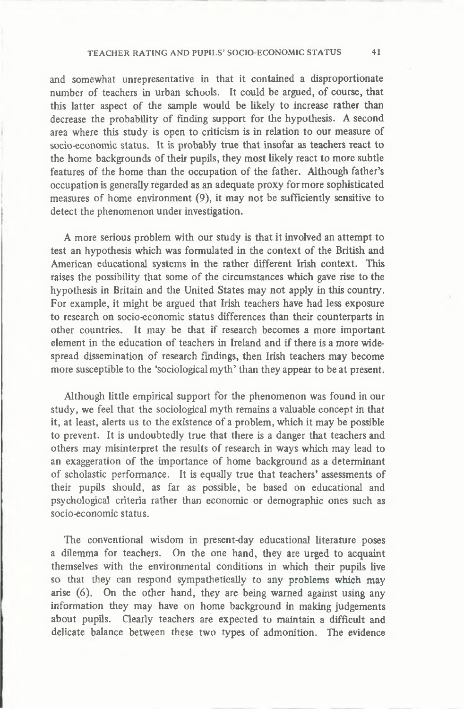### TEACHER RATING AND PUPILS' SOCIO-ECONOMIC STATUS 4 1

**and somewhat unrepresentative in that it contained a disproportionate number of teachers in urban schools. It could be argued, of course, that this latter aspect of the sample would be likely to increase rather than decrease the probability of finding support for the hypothesis. A second area where this study is open to criticism is in relation to our measure of socio-economic status. It is probably true that insofar as teachers react to the home backgrounds of their pupils, they most likely react to more subtle features of the home than the occupation of the father. Although father's occupation is generally regarded as an adequate proxy for more sophisticated measures of home environment (9), it may not be sufficiently sensitive to detect the phenomenon under investigation.**

**A more serious problem with our study is that it involved an attempt to test an hypothesis which was formulated in the context of the British and American educational systems in the rather different Irish context. This raises the possibility that some of the circumstances which gave rise to the hypothesis in Britain and the United States may not apply in this country. For example, it might be argued that Irish teachers have had less exposure to research on socio-economic status differences than their counterparts in other countries. It may be that if research becomes a more important element in the education of teachers in Ireland and if there is a more widespread dissemination of research findings, then Irish teachers may become more susceptible to the 'sociological myth' than they appear to be at present.**

**Although little empirical support for the phenomenon was found in our study, we feel that the sociological myth remains a valuable concept in that it, at least, alerts us to the existence of a problem, which it may be possible to prevent. It is undoubtedly true that there is a danger that teachers and others may misinterpret the results of research in ways which may lead to an exaggeration of the importance of home background as a determinant of scholastic performance. It is equally true that teachers' assessments of their pupils should, as far as possible, be based on educational and psychological criteria rather than economic or demographic ones such as socio-economic status.**

**The conventional wisdom in present-day educational literature poses a dilemma for teachers. On the one hand, they are urged to acquaint themselves with the environmental conditions in which their pupils live so that they can respond sympathetically to any problems which may arise (6). On the other hand, they are being warned against using any information they may have on home background in making judgements about pupils. Clearly teachers are expected to maintain a difficult and delicate balance between these two types of admonition. The evidence**